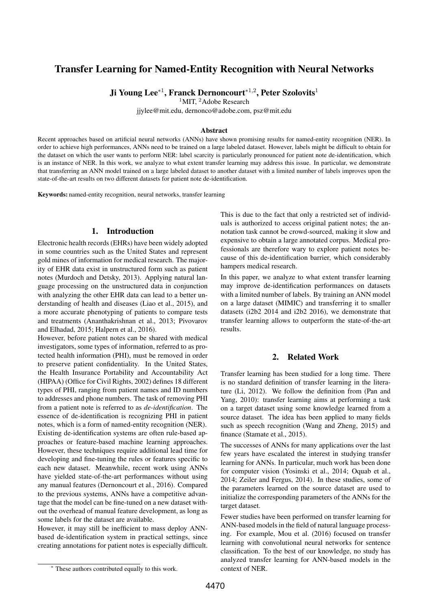# <span id="page-0-0"></span>Transfer Learning for Named-Entity Recognition with Neural Networks

Ji Young Lee $^{\ast1}$ , Franck Dernoncourt $^{\ast1,2}$ , Peter Szolovits $^1$ 

 $1$ MIT,  $2$ Adobe Research

jjylee@mit.edu, dernonco@adobe.com, psz@mit.edu

#### Abstract

Recent approaches based on artificial neural networks (ANNs) have shown promising results for named-entity recognition (NER). In order to achieve high performances, ANNs need to be trained on a large labeled dataset. However, labels might be difficult to obtain for the dataset on which the user wants to perform NER: label scarcity is particularly pronounced for patient note de-identification, which is an instance of NER. In this work, we analyze to what extent transfer learning may address this issue. In particular, we demonstrate that transferring an ANN model trained on a large labeled dataset to another dataset with a limited number of labels improves upon the state-of-the-art results on two different datasets for patient note de-identification.

Keywords: named-entity recognition, neural networks, transfer learning

### 1. Introduction

Electronic health records (EHRs) have been widely adopted in some countries such as the United States and represent gold mines of information for medical research. The majority of EHR data exist in unstructured form such as patient notes [\(Murdoch and Detsky, 2013\)](#page-3-0). Applying natural language processing on the unstructured data in conjunction with analyzing the other EHR data can lead to a better understanding of health and diseases [\(Liao et al., 2015\)](#page-3-1), and a more accurate phenotyping of patients to compare tests and treatments [\(Ananthakrishnan et al., 2013;](#page-3-2) [Pivovarov](#page-3-3) [and Elhadad, 2015;](#page-3-3) [Halpern et al., 2016\)](#page-3-4).

However, before patient notes can be shared with medical investigators, some types of information, referred to as protected health information (PHI), must be removed in order to preserve patient confidentiality. In the United States, the Health Insurance Portability and Accountability Act (HIPAA) [\(Office for Civil Rights, 2002\)](#page-3-5) defines 18 different types of PHI, ranging from patient names and ID numbers to addresses and phone numbers. The task of removing PHI from a patient note is referred to as *de-identification*. The essence of de-identification is recognizing PHI in patient notes, which is a form of named-entity recognition (NER). Existing de-identification systems are often rule-based approaches or feature-based machine learning approaches. However, these techniques require additional lead time for developing and fine-tuning the rules or features specific to each new dataset. Meanwhile, recent work using ANNs have yielded state-of-the-art performances without using any manual features [\(Dernoncourt et al., 2016\)](#page-3-6). Compared to the previous systems, ANNs have a competitive advantage that the model can be fine-tuned on a new dataset without the overhead of manual feature development, as long as some labels for the dataset are available.

However, it may still be inefficient to mass deploy ANNbased de-identification system in practical settings, since creating annotations for patient notes is especially difficult.

This is due to the fact that only a restricted set of individuals is authorized to access original patient notes; the annotation task cannot be crowd-sourced, making it slow and expensive to obtain a large annotated corpus. Medical professionals are therefore wary to explore patient notes because of this de-identification barrier, which considerably hampers medical research.

In this paper, we analyze to what extent transfer learning may improve de-identification performances on datasets with a limited number of labels. By training an ANN model on a large dataset (MIMIC) and transferring it to smaller datasets (i2b2 2014 and i2b2 2016), we demonstrate that transfer learning allows to outperform the state-of-the-art results.

### 2. Related Work

Transfer learning has been studied for a long time. There is no standard definition of transfer learning in the literature [\(Li, 2012\)](#page-3-7). We follow the definition from [\(Pan and](#page-3-8) [Yang, 2010\)](#page-3-8): transfer learning aims at performing a task on a target dataset using some knowledge learned from a source dataset. The idea has been applied to many fields such as speech recognition [\(Wang and Zheng, 2015\)](#page-3-9) and finance [\(Stamate et al., 2015\)](#page-3-10).

The successes of ANNs for many applications over the last few years have escalated the interest in studying transfer learning for ANNs. In particular, much work has been done for computer vision [\(Yosinski et al., 2014;](#page-3-11) [Oquab et al.,](#page-3-12) [2014;](#page-3-12) [Zeiler and Fergus, 2014\)](#page-3-13). In these studies, some of the parameters learned on the source dataset are used to initialize the corresponding parameters of the ANNs for the target dataset.

Fewer studies have been performed on transfer learning for ANN-based models in the field of natural language processing. For example, Mou et al. [\(2016\)](#page-3-14) focused on transfer learning with convolutional neural networks for sentence classification. To the best of our knowledge, no study has analyzed transfer learning for ANN-based models in the context of NER.

<sup>∗</sup> These authors contributed equally to this work.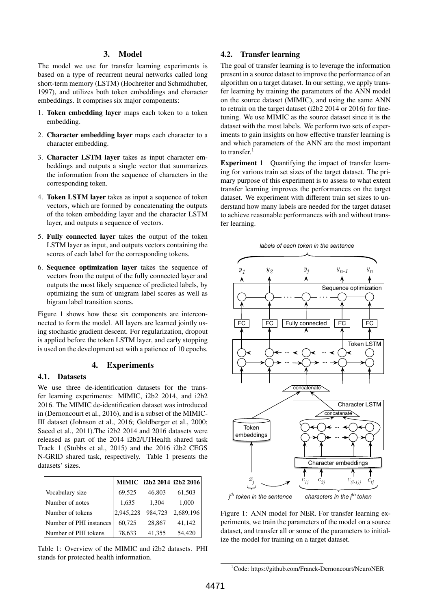# 3. Model

The model we use for transfer learning experiments is based on a type of recurrent neural networks called long short-term memory (LSTM) [\(Hochreiter and Schmidhuber,](#page-3-15) [1997\)](#page-3-15), and utilizes both token embeddings and character embeddings. It comprises six major components:

- 1. Token embedding layer maps each token to a token embedding.
- 2. Character embedding layer maps each character to a character embedding.
- 3. Character LSTM layer takes as input character embeddings and outputs a single vector that summarizes the information from the sequence of characters in the corresponding token.
- 4. Token LSTM layer takes as input a sequence of token vectors, which are formed by concatenating the outputs of the token embedding layer and the character LSTM layer, and outputs a sequence of vectors.
- 5. Fully connected layer takes the output of the token LSTM layer as input, and outputs vectors containing the scores of each label for the corresponding tokens.
- 6. Sequence optimization layer takes the sequence of vectors from the output of the fully connected layer and outputs the most likely sequence of predicted labels, by optimizing the sum of unigram label scores as well as bigram label transition scores.

Figure [1](#page-1-0) shows how these six components are interconnected to form the model. All layers are learned jointly using stochastic gradient descent. For regularization, dropout is applied before the token LSTM layer, and early stopping is used on the development set with a patience of 10 epochs.

### 4. Experiments

#### 4.1. Datasets

We use three de-identification datasets for the transfer learning experiments: MIMIC, i2b2 2014, and i2b2 2016. The MIMIC de-identification dataset was introduced in [\(Dernoncourt et al., 2016\)](#page-3-6), and is a subset of the MIMIC-III dataset (Johnson et al., 2016; Goldberger et al., 2000; Saeed et al., 2011).The i2b2 2014 and 2016 datasets were released as part of the 2014 i2b2/UTHealth shared task Track 1 (Stubbs et al., 2015) and the 2016 i2b2 CEGS N-GRID shared task, respectively. Table [1](#page-1-1) presents the datasets' sizes.

<span id="page-1-1"></span>

|                         |           | MIMIC   i2b2 2014   i2b2 2016 |           |
|-------------------------|-----------|-------------------------------|-----------|
| Vocabulary size         | 69,525    | 46,803                        | 61,503    |
| Number of notes         | 1,635     | 1,304                         | 1,000     |
| Number of tokens        | 2,945,228 | 984,723                       | 2,689,196 |
| Number of PHI instances | 60,725    | 28,867                        | 41,142    |
| Number of PHI tokens    | 78,633    | 41,355                        | 54,420    |

Table 1: Overview of the MIMIC and i2b2 datasets. PHI stands for protected health information.

# 4.2. Transfer learning

The goal of transfer learning is to leverage the information present in a source dataset to improve the performance of an algorithm on a target dataset. In our setting, we apply transfer learning by training the parameters of the ANN model on the source dataset (MIMIC), and using the same ANN to retrain on the target dataset (i2b2 2014 or 2016) for finetuning. We use MIMIC as the source dataset since it is the dataset with the most labels. We perform two sets of experiments to gain insights on how effective transfer learning is and which parameters of the ANN are the most important to transfer.<sup>[1](#page-0-0)</sup>

Experiment 1 Quantifying the impact of transfer learning for various train set sizes of the target dataset. The primary purpose of this experiment is to assess to what extent transfer learning improves the performances on the target dataset. We experiment with different train set sizes to understand how many labels are needed for the target dataset to achieve reasonable performances with and without transfer learning.



<span id="page-1-0"></span>

*th token in the sentence characters in the jth token*

Figure 1: ANN model for NER. For transfer learning experiments, we train the parameters of the model on a source dataset, and transfer all or some of the parameters to initialize the model for training on a target dataset.

<sup>&</sup>lt;sup>1</sup>Code: https://github.com/Franck-Dernoncourt/NeuroNER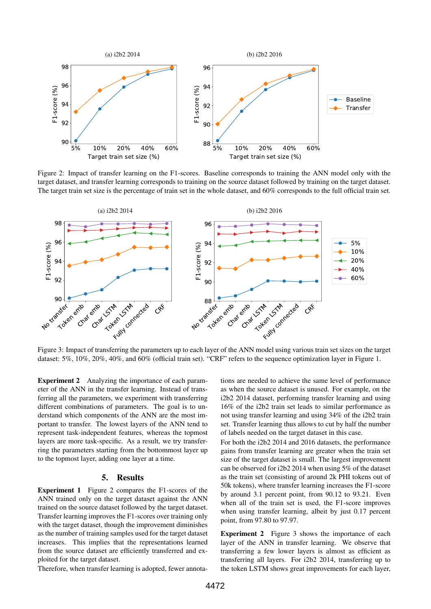<span id="page-2-0"></span>

Figure 2: Impact of transfer learning on the F1-scores. Baseline corresponds to training the ANN model only with the target dataset, and transfer learning corresponds to training on the source dataset followed by training on the target dataset. The target train set size is the percentage of train set in the whole dataset, and 60% corresponds to the full official train set.

<span id="page-2-1"></span>

Figure 3: Impact of transferring the parameters up to each layer of the ANN model using various train set sizes on the target dataset: 5%, 10%, 20%, 40%, and 60% (official train set). "CRF" refers to the sequence optimization layer in Figure [1.](#page-1-0)

Experiment 2 Analyzing the importance of each parameter of the ANN in the transfer learning. Instead of transferring all the parameters, we experiment with transferring different combinations of parameters. The goal is to understand which components of the ANN are the most important to transfer. The lowest layers of the ANN tend to represent task-independent features, whereas the topmost layers are more task-specific. As a result, we try transferring the parameters starting from the bottommost layer up to the topmost layer, adding one layer at a time.

#### 5. Results

Experiment 1 Figure [2](#page-2-0) compares the F1-scores of the ANN trained only on the target dataset against the ANN trained on the source dataset followed by the target dataset. Transfer learning improves the F1-scores over training only with the target dataset, though the improvement diminishes as the number of training samples used for the target dataset increases. This implies that the representations learned from the source dataset are efficiently transferred and exploited for the target dataset.

Therefore, when transfer learning is adopted, fewer annota-

tions are needed to achieve the same level of performance as when the source dataset is unused. For example, on the i2b2 2014 dataset, performing transfer learning and using 16% of the i2b2 train set leads to similar performance as not using transfer learning and using 34% of the i2b2 train set. Transfer learning thus allows to cut by half the number of labels needed on the target dataset in this case.

For both the i2b2 2014 and 2016 datasets, the performance gains from transfer learning are greater when the train set size of the target dataset is small. The largest improvement can be observed for i2b2 2014 when using 5% of the dataset as the train set (consisting of around 2k PHI tokens out of 50k tokens), where transfer learning increases the F1-score by around 3.1 percent point, from 90.12 to 93.21. Even when all of the train set is used, the F1-score improves when using transfer learning, albeit by just 0.17 percent point, from 97.80 to 97.97.

Experiment 2 Figure [3](#page-2-1) shows the importance of each layer of the ANN in transfer learning. We observe that transferring a few lower layers is almost as efficient as transferring all layers. For i2b2 2014, transferring up to the token LSTM shows great improvements for each layer,